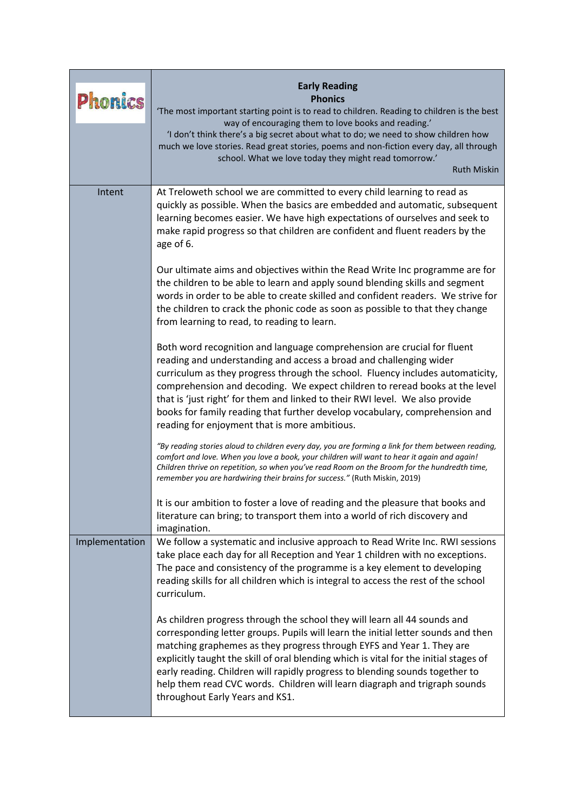| <b>Phonics</b> | <b>Early Reading</b><br><b>Phonics</b><br>'The most important starting point is to read to children. Reading to children is the best<br>way of encouraging them to love books and reading.'<br>'I don't think there's a big secret about what to do; we need to show children how<br>much we love stories. Read great stories, poems and non-fiction every day, all through<br>school. What we love today they might read tomorrow.'<br><b>Ruth Miskin</b>                                                                        |
|----------------|-----------------------------------------------------------------------------------------------------------------------------------------------------------------------------------------------------------------------------------------------------------------------------------------------------------------------------------------------------------------------------------------------------------------------------------------------------------------------------------------------------------------------------------|
| Intent         | At Treloweth school we are committed to every child learning to read as<br>quickly as possible. When the basics are embedded and automatic, subsequent<br>learning becomes easier. We have high expectations of ourselves and seek to<br>make rapid progress so that children are confident and fluent readers by the<br>age of 6.                                                                                                                                                                                                |
|                | Our ultimate aims and objectives within the Read Write Inc programme are for<br>the children to be able to learn and apply sound blending skills and segment<br>words in order to be able to create skilled and confident readers. We strive for<br>the children to crack the phonic code as soon as possible to that they change<br>from learning to read, to reading to learn.                                                                                                                                                  |
|                | Both word recognition and language comprehension are crucial for fluent<br>reading and understanding and access a broad and challenging wider<br>curriculum as they progress through the school. Fluency includes automaticity,<br>comprehension and decoding. We expect children to reread books at the level<br>that is 'just right' for them and linked to their RWI level. We also provide<br>books for family reading that further develop vocabulary, comprehension and<br>reading for enjoyment that is more ambitious.    |
|                | "By reading stories aloud to children every day, you are forming a link for them between reading,<br>comfort and love. When you love a book, your children will want to hear it again and again!<br>Children thrive on repetition, so when you've read Room on the Broom for the hundredth time,<br>remember you are hardwiring their brains for success." (Ruth Miskin, 2019)                                                                                                                                                    |
|                | It is our ambition to foster a love of reading and the pleasure that books and<br>literature can bring; to transport them into a world of rich discovery and<br>imagination.                                                                                                                                                                                                                                                                                                                                                      |
| Implementation | We follow a systematic and inclusive approach to Read Write Inc. RWI sessions<br>take place each day for all Reception and Year 1 children with no exceptions.<br>The pace and consistency of the programme is a key element to developing<br>reading skills for all children which is integral to access the rest of the school<br>curriculum.                                                                                                                                                                                   |
|                | As children progress through the school they will learn all 44 sounds and<br>corresponding letter groups. Pupils will learn the initial letter sounds and then<br>matching graphemes as they progress through EYFS and Year 1. They are<br>explicitly taught the skill of oral blending which is vital for the initial stages of<br>early reading. Children will rapidly progress to blending sounds together to<br>help them read CVC words. Children will learn diagraph and trigraph sounds<br>throughout Early Years and KS1. |